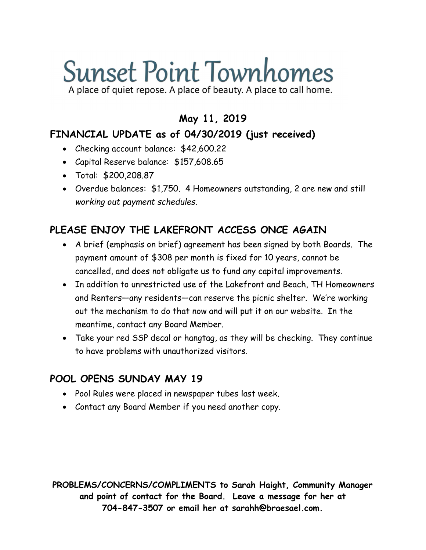# **Sunset Point Townhomes**

A place of quiet repose. A place of beauty. A place to call home.

#### May 11, 2019

#### FINANCIAL UPDATE as of 04/30/2019 (just received)

- Checking account balance: \$42,600.22
- Capital Reserve balance: \$157,608.65
- Total: \$200,208.87
- Overdue balances: \$1,750. 4 Homeowners outstanding, 2 are new and still working out payment schedules.

## PLEASE ENJOY THE LAKEFRONT ACCESS ONCE AGAIN

- A brief (emphasis on brief) agreement has been signed by both Boards. The payment amount of \$308 per month is fixed for 10 years, cannot be cancelled, and does not obligate us to fund any capital improvements.
- In addition to unrestricted use of the Lakefront and Beach, TH Homeowners and Renters—any residents—can reserve the picnic shelter. We're working out the mechanism to do that now and will put it on our website. In the meantime, contact any Board Member.
- Take your red SSP decal or hangtag, as they will be checking. They continue to have problems with unauthorized visitors.

### POOL OPENS SUNDAY MAY 19

- Pool Rules were placed in newspaper tubes last week.
- Contact any Board Member if you need another copy.

PROBLEMS/CONCERNS/COMPLIMENTS to Sarah Haight, Community Manager and point of contact for the Board. Leave a message for her at 704-847-3507 or email her at sarahh@braesael.com.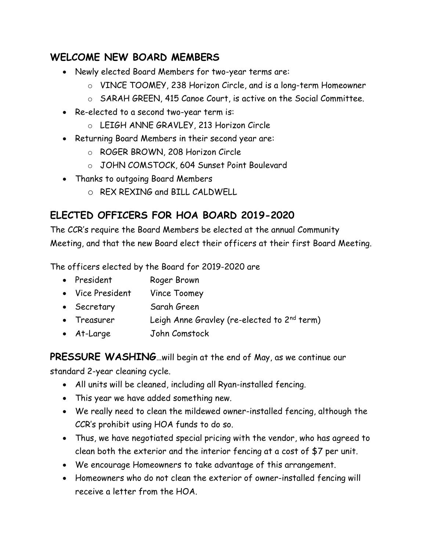### WELCOME NEW BOARD MEMBERS

- Newly elected Board Members for two-year terms are:
	- o VINCE TOOMEY, 238 Horizon Circle, and is a long-term Homeowner
	- o SARAH GREEN, 415 Canoe Court, is active on the Social Committee.
- Re-elected to a second two-year term is:
	- o LEIGH ANNE GRAVLEY, 213 Horizon Circle
- Returning Board Members in their second year are:
	- o ROGER BROWN, 208 Horizon Circle
	- o JOHN COMSTOCK, 604 Sunset Point Boulevard
- Thanks to outgoing Board Members
	- o REX REXING and BILL CALDWELL

## ELECTED OFFICERS FOR HOA BOARD 2019-2020

The CCR's require the Board Members be elected at the annual Community Meeting, and that the new Board elect their officers at their first Board Meeting.

The officers elected by the Board for 2019-2020 are

- President Roger Brown
- Vice President Vince Toomey
- Secretary Sarah Green
- Treasurer Leigh Anne Gravley (re-elected to  $2^{nd}$  term)
- At-Large John Comstock

PRESSURE WASHING...will begin at the end of May, as we continue our

standard 2-year cleaning cycle.

- All units will be cleaned, including all Ryan-installed fencing.
- This year we have added something new.
- We really need to clean the mildewed owner-installed fencing, although the CCR's prohibit using HOA funds to do so.
- Thus, we have negotiated special pricing with the vendor, who has agreed to clean both the exterior and the interior fencing at a cost of \$7 per unit.
- We encourage Homeowners to take advantage of this arrangement.
- Homeowners who do not clean the exterior of owner-installed fencing will receive a letter from the HOA.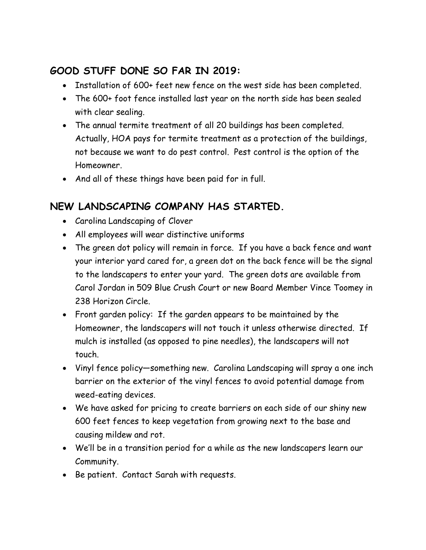#### GOOD STUFF DONE SO FAR IN 2019:

- Installation of 600+ feet new fence on the west side has been completed.
- The 600+ foot fence installed last year on the north side has been sealed with clear sealing.
- The annual termite treatment of all 20 buildings has been completed. Actually, HOA pays for termite treatment as a protection of the buildings, not because we want to do pest control. Pest control is the option of the Homeowner.
- And all of these things have been paid for in full.

### NEW LANDSCAPING COMPANY HAS STARTED.

- Carolina Landscaping of Clover
- All employees will wear distinctive uniforms
- The green dot policy will remain in force. If you have a back fence and want your interior yard cared for, a green dot on the back fence will be the signal to the landscapers to enter your yard. The green dots are available from Carol Jordan in 509 Blue Crush Court or new Board Member Vince Toomey in 238 Horizon Circle.
- Front garden policy: If the garden appears to be maintained by the Homeowner, the landscapers will not touch it unless otherwise directed. If mulch is installed (as opposed to pine needles), the landscapers will not touch.
- Vinyl fence policy—something new. Carolina Landscaping will spray a one inch barrier on the exterior of the vinyl fences to avoid potential damage from weed-eating devices.
- We have asked for pricing to create barriers on each side of our shiny new 600 feet fences to keep vegetation from growing next to the base and causing mildew and rot.
- We'll be in a transition period for a while as the new landscapers learn our Community.
- Be patient. Contact Sarah with requests.